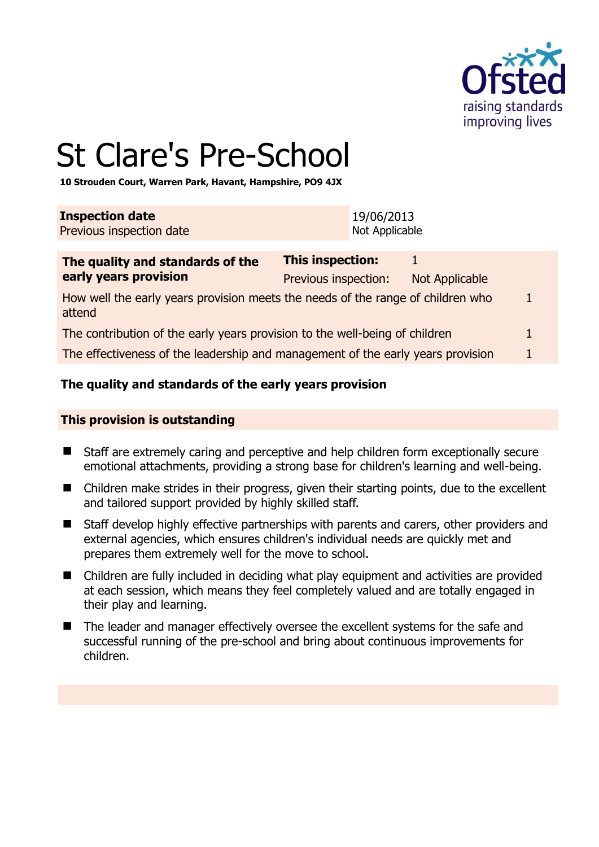

# St Clare's Pre-School

**10 Strouden Court, Warren Park, Havant, Hampshire, PO9 4JX** 

| <b>Inspection date</b>   | 19/06/2013     |
|--------------------------|----------------|
| Previous inspection date | Not Applicable |

| The quality and standards of the                                                          | This inspection:     |                |   |  |
|-------------------------------------------------------------------------------------------|----------------------|----------------|---|--|
| early years provision                                                                     | Previous inspection: | Not Applicable |   |  |
| How well the early years provision meets the needs of the range of children who<br>attend |                      |                | 1 |  |
| The contribution of the early years provision to the well-being of children               |                      | 1              |   |  |
| The effectiveness of the leadership and management of the early years provision           |                      |                |   |  |

# **The quality and standards of the early years provision**

#### **This provision is outstanding**

- Staff are extremely caring and perceptive and help children form exceptionally secure emotional attachments, providing a strong base for children's learning and well-being.
- Children make strides in their progress, given their starting points, due to the excellent and tailored support provided by highly skilled staff.
- Staff develop highly effective partnerships with parents and carers, other providers and external agencies, which ensures children's individual needs are quickly met and prepares them extremely well for the move to school.
- Children are fully included in deciding what play equipment and activities are provided at each session, which means they feel completely valued and are totally engaged in their play and learning.
- The leader and manager effectively oversee the excellent systems for the safe and successful running of the pre-school and bring about continuous improvements for children.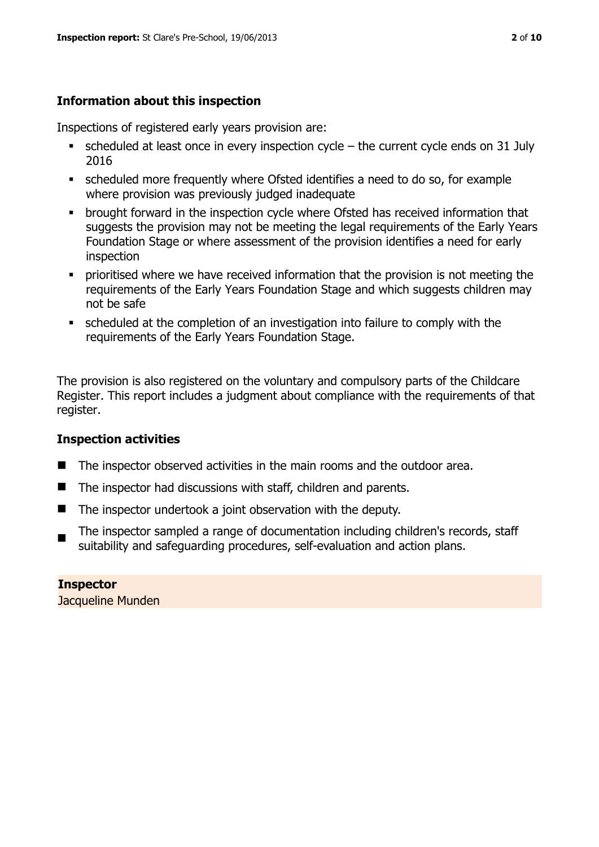# **Information about this inspection**

Inspections of registered early years provision are:

- scheduled at least once in every inspection cycle the current cycle ends on 31 July 2016
- scheduled more frequently where Ofsted identifies a need to do so, for example where provision was previously judged inadequate
- **•** brought forward in the inspection cycle where Ofsted has received information that suggests the provision may not be meeting the legal requirements of the Early Years Foundation Stage or where assessment of the provision identifies a need for early inspection
- **•** prioritised where we have received information that the provision is not meeting the requirements of the Early Years Foundation Stage and which suggests children may not be safe
- scheduled at the completion of an investigation into failure to comply with the requirements of the Early Years Foundation Stage.

The provision is also registered on the voluntary and compulsory parts of the Childcare Register. This report includes a judgment about compliance with the requirements of that register.

# **Inspection activities**

- The inspector observed activities in the main rooms and the outdoor area.
- The inspector had discussions with staff, children and parents.
- $\blacksquare$  The inspector undertook a joint observation with the deputy.
- The inspector sampled a range of documentation including children's records, staff suitability and safeguarding procedures, self-evaluation and action plans.

#### **Inspector**  Jacqueline Munden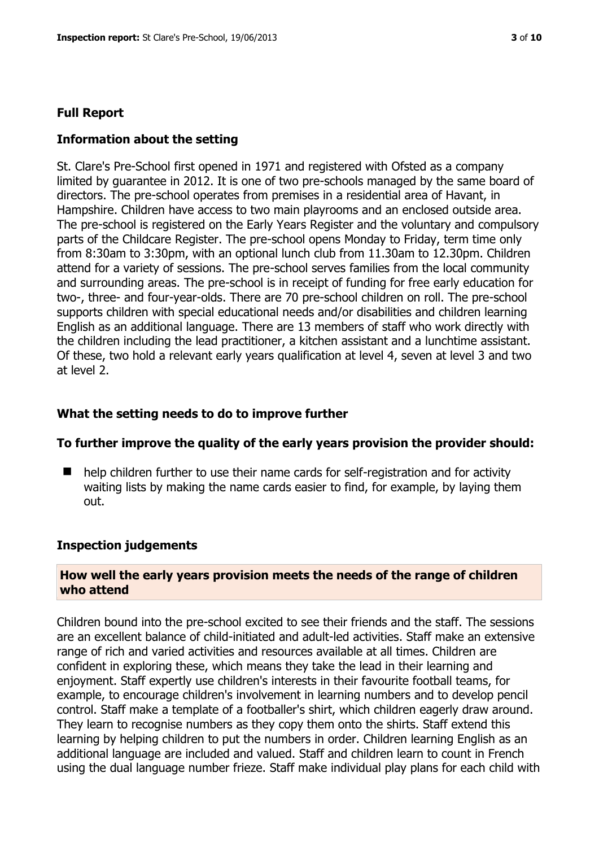# **Full Report**

# **Information about the setting**

St. Clare's Pre-School first opened in 1971 and registered with Ofsted as a company limited by guarantee in 2012. It is one of two pre-schools managed by the same board of directors. The pre-school operates from premises in a residential area of Havant, in Hampshire. Children have access to two main playrooms and an enclosed outside area. The pre-school is registered on the Early Years Register and the voluntary and compulsory parts of the Childcare Register. The pre-school opens Monday to Friday, term time only from 8:30am to 3:30pm, with an optional lunch club from 11.30am to 12.30pm. Children attend for a variety of sessions. The pre-school serves families from the local community and surrounding areas. The pre-school is in receipt of funding for free early education for two-, three- and four-year-olds. There are 70 pre-school children on roll. The pre-school supports children with special educational needs and/or disabilities and children learning English as an additional language. There are 13 members of staff who work directly with the children including the lead practitioner, a kitchen assistant and a lunchtime assistant. Of these, two hold a relevant early years qualification at level 4, seven at level 3 and two at level 2.

#### **What the setting needs to do to improve further**

#### **To further improve the quality of the early years provision the provider should:**

■ help children further to use their name cards for self-registration and for activity waiting lists by making the name cards easier to find, for example, by laying them out.

#### **Inspection judgements**

# **How well the early years provision meets the needs of the range of children who attend**

Children bound into the pre-school excited to see their friends and the staff. The sessions are an excellent balance of child-initiated and adult-led activities. Staff make an extensive range of rich and varied activities and resources available at all times. Children are confident in exploring these, which means they take the lead in their learning and enjoyment. Staff expertly use children's interests in their favourite football teams, for example, to encourage children's involvement in learning numbers and to develop pencil control. Staff make a template of a footballer's shirt, which children eagerly draw around. They learn to recognise numbers as they copy them onto the shirts. Staff extend this learning by helping children to put the numbers in order. Children learning English as an additional language are included and valued. Staff and children learn to count in French using the dual language number frieze. Staff make individual play plans for each child with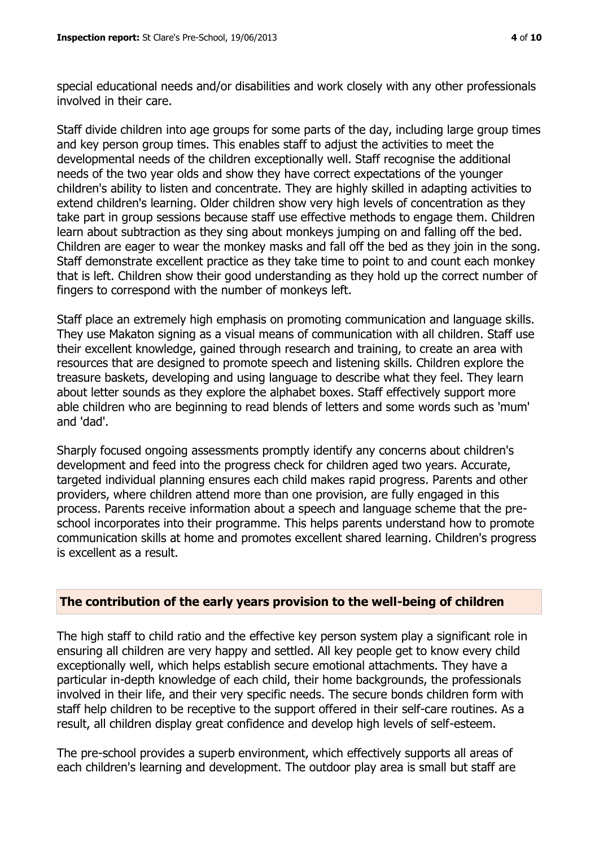special educational needs and/or disabilities and work closely with any other professionals involved in their care.

Staff divide children into age groups for some parts of the day, including large group times and key person group times. This enables staff to adjust the activities to meet the developmental needs of the children exceptionally well. Staff recognise the additional needs of the two year olds and show they have correct expectations of the younger children's ability to listen and concentrate. They are highly skilled in adapting activities to extend children's learning. Older children show very high levels of concentration as they take part in group sessions because staff use effective methods to engage them. Children learn about subtraction as they sing about monkeys jumping on and falling off the bed. Children are eager to wear the monkey masks and fall off the bed as they join in the song. Staff demonstrate excellent practice as they take time to point to and count each monkey that is left. Children show their good understanding as they hold up the correct number of fingers to correspond with the number of monkeys left.

Staff place an extremely high emphasis on promoting communication and language skills. They use Makaton signing as a visual means of communication with all children. Staff use their excellent knowledge, gained through research and training, to create an area with resources that are designed to promote speech and listening skills. Children explore the treasure baskets, developing and using language to describe what they feel. They learn about letter sounds as they explore the alphabet boxes. Staff effectively support more able children who are beginning to read blends of letters and some words such as 'mum' and 'dad'.

Sharply focused ongoing assessments promptly identify any concerns about children's development and feed into the progress check for children aged two years. Accurate, targeted individual planning ensures each child makes rapid progress. Parents and other providers, where children attend more than one provision, are fully engaged in this process. Parents receive information about a speech and language scheme that the preschool incorporates into their programme. This helps parents understand how to promote communication skills at home and promotes excellent shared learning. Children's progress is excellent as a result.

# **The contribution of the early years provision to the well-being of children**

The high staff to child ratio and the effective key person system play a significant role in ensuring all children are very happy and settled. All key people get to know every child exceptionally well, which helps establish secure emotional attachments. They have a particular in-depth knowledge of each child, their home backgrounds, the professionals involved in their life, and their very specific needs. The secure bonds children form with staff help children to be receptive to the support offered in their self-care routines. As a result, all children display great confidence and develop high levels of self-esteem.

The pre-school provides a superb environment, which effectively supports all areas of each children's learning and development. The outdoor play area is small but staff are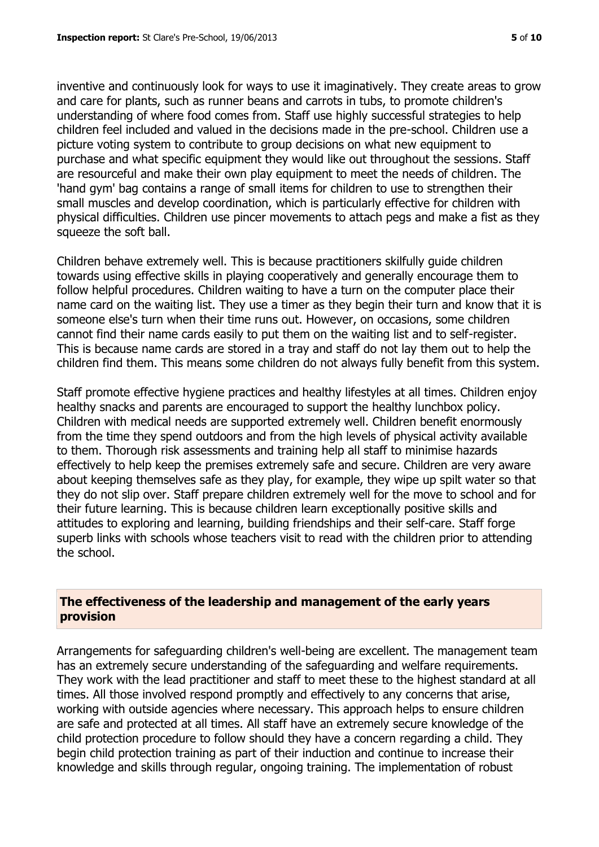inventive and continuously look for ways to use it imaginatively. They create areas to grow and care for plants, such as runner beans and carrots in tubs, to promote children's understanding of where food comes from. Staff use highly successful strategies to help children feel included and valued in the decisions made in the pre-school. Children use a picture voting system to contribute to group decisions on what new equipment to purchase and what specific equipment they would like out throughout the sessions. Staff are resourceful and make their own play equipment to meet the needs of children. The 'hand gym' bag contains a range of small items for children to use to strengthen their small muscles and develop coordination, which is particularly effective for children with physical difficulties. Children use pincer movements to attach pegs and make a fist as they squeeze the soft ball.

Children behave extremely well. This is because practitioners skilfully guide children towards using effective skills in playing cooperatively and generally encourage them to follow helpful procedures. Children waiting to have a turn on the computer place their name card on the waiting list. They use a timer as they begin their turn and know that it is someone else's turn when their time runs out. However, on occasions, some children cannot find their name cards easily to put them on the waiting list and to self-register. This is because name cards are stored in a tray and staff do not lay them out to help the children find them. This means some children do not always fully benefit from this system.

Staff promote effective hygiene practices and healthy lifestyles at all times. Children enjoy healthy snacks and parents are encouraged to support the healthy lunchbox policy. Children with medical needs are supported extremely well. Children benefit enormously from the time they spend outdoors and from the high levels of physical activity available to them. Thorough risk assessments and training help all staff to minimise hazards effectively to help keep the premises extremely safe and secure. Children are very aware about keeping themselves safe as they play, for example, they wipe up spilt water so that they do not slip over. Staff prepare children extremely well for the move to school and for their future learning. This is because children learn exceptionally positive skills and attitudes to exploring and learning, building friendships and their self-care. Staff forge superb links with schools whose teachers visit to read with the children prior to attending the school.

# **The effectiveness of the leadership and management of the early years provision**

Arrangements for safeguarding children's well-being are excellent. The management team has an extremely secure understanding of the safeguarding and welfare requirements. They work with the lead practitioner and staff to meet these to the highest standard at all times. All those involved respond promptly and effectively to any concerns that arise, working with outside agencies where necessary. This approach helps to ensure children are safe and protected at all times. All staff have an extremely secure knowledge of the child protection procedure to follow should they have a concern regarding a child. They begin child protection training as part of their induction and continue to increase their knowledge and skills through regular, ongoing training. The implementation of robust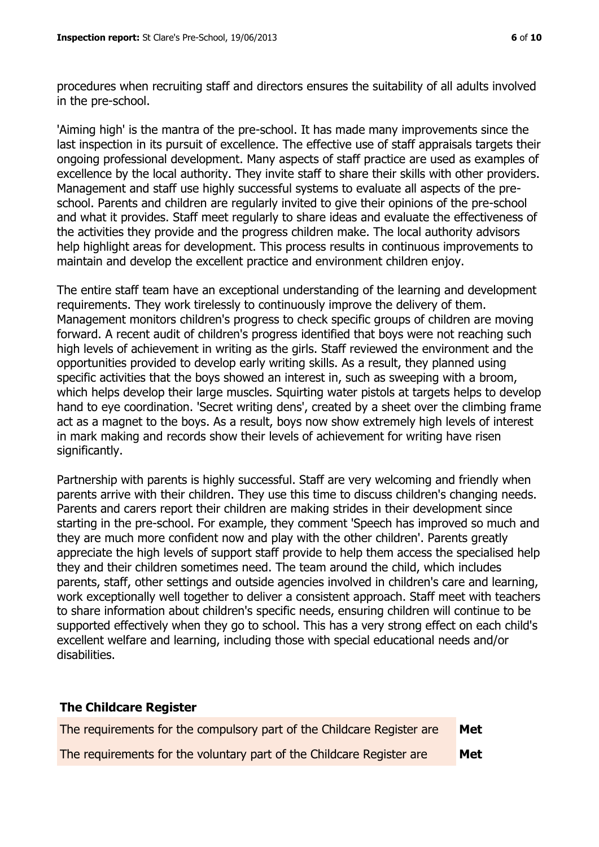procedures when recruiting staff and directors ensures the suitability of all adults involved in the pre-school.

'Aiming high' is the mantra of the pre-school. It has made many improvements since the last inspection in its pursuit of excellence. The effective use of staff appraisals targets their ongoing professional development. Many aspects of staff practice are used as examples of excellence by the local authority. They invite staff to share their skills with other providers. Management and staff use highly successful systems to evaluate all aspects of the preschool. Parents and children are regularly invited to give their opinions of the pre-school and what it provides. Staff meet regularly to share ideas and evaluate the effectiveness of the activities they provide and the progress children make. The local authority advisors help highlight areas for development. This process results in continuous improvements to maintain and develop the excellent practice and environment children enjoy.

The entire staff team have an exceptional understanding of the learning and development requirements. They work tirelessly to continuously improve the delivery of them. Management monitors children's progress to check specific groups of children are moving forward. A recent audit of children's progress identified that boys were not reaching such high levels of achievement in writing as the girls. Staff reviewed the environment and the opportunities provided to develop early writing skills. As a result, they planned using specific activities that the boys showed an interest in, such as sweeping with a broom, which helps develop their large muscles. Squirting water pistols at targets helps to develop hand to eye coordination. 'Secret writing dens', created by a sheet over the climbing frame act as a magnet to the boys. As a result, boys now show extremely high levels of interest in mark making and records show their levels of achievement for writing have risen significantly.

Partnership with parents is highly successful. Staff are very welcoming and friendly when parents arrive with their children. They use this time to discuss children's changing needs. Parents and carers report their children are making strides in their development since starting in the pre-school. For example, they comment 'Speech has improved so much and they are much more confident now and play with the other children'. Parents greatly appreciate the high levels of support staff provide to help them access the specialised help they and their children sometimes need. The team around the child, which includes parents, staff, other settings and outside agencies involved in children's care and learning, work exceptionally well together to deliver a consistent approach. Staff meet with teachers to share information about children's specific needs, ensuring children will continue to be supported effectively when they go to school. This has a very strong effect on each child's excellent welfare and learning, including those with special educational needs and/or disabilities.

#### **The Childcare Register**

| The requirements for the compulsory part of the Childcare Register are | Met |
|------------------------------------------------------------------------|-----|
| The requirements for the voluntary part of the Childcare Register are  | Met |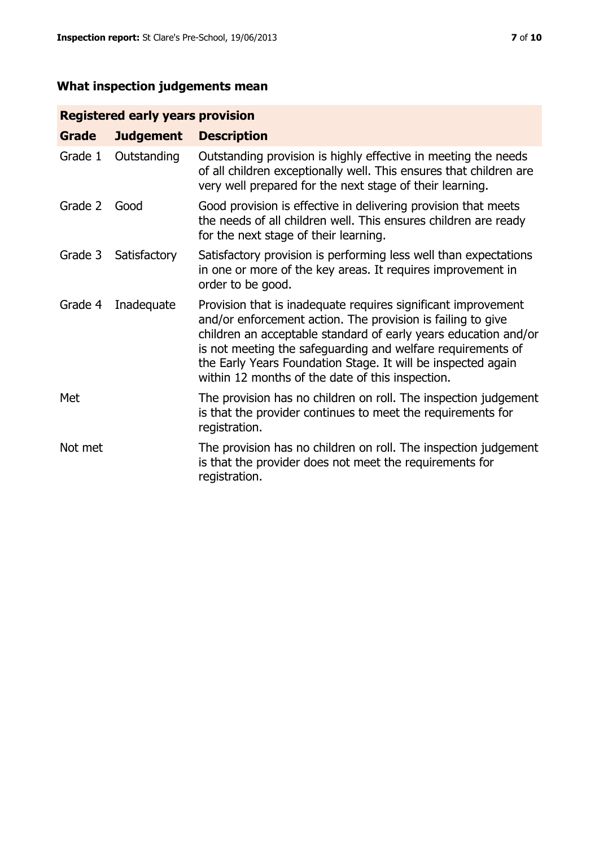# **What inspection judgements mean**

# **Registered early years provision**

| <b>Grade</b> | <b>Judgement</b> | <b>Description</b>                                                                                                                                                                                                                                                                                                                                                                 |
|--------------|------------------|------------------------------------------------------------------------------------------------------------------------------------------------------------------------------------------------------------------------------------------------------------------------------------------------------------------------------------------------------------------------------------|
| Grade 1      | Outstanding      | Outstanding provision is highly effective in meeting the needs<br>of all children exceptionally well. This ensures that children are<br>very well prepared for the next stage of their learning.                                                                                                                                                                                   |
| Grade 2      | Good             | Good provision is effective in delivering provision that meets<br>the needs of all children well. This ensures children are ready<br>for the next stage of their learning.                                                                                                                                                                                                         |
| Grade 3      | Satisfactory     | Satisfactory provision is performing less well than expectations<br>in one or more of the key areas. It requires improvement in<br>order to be good.                                                                                                                                                                                                                               |
| Grade 4      | Inadequate       | Provision that is inadequate requires significant improvement<br>and/or enforcement action. The provision is failing to give<br>children an acceptable standard of early years education and/or<br>is not meeting the safeguarding and welfare requirements of<br>the Early Years Foundation Stage. It will be inspected again<br>within 12 months of the date of this inspection. |
| Met          |                  | The provision has no children on roll. The inspection judgement<br>is that the provider continues to meet the requirements for<br>registration.                                                                                                                                                                                                                                    |
| Not met      |                  | The provision has no children on roll. The inspection judgement<br>is that the provider does not meet the requirements for<br>registration.                                                                                                                                                                                                                                        |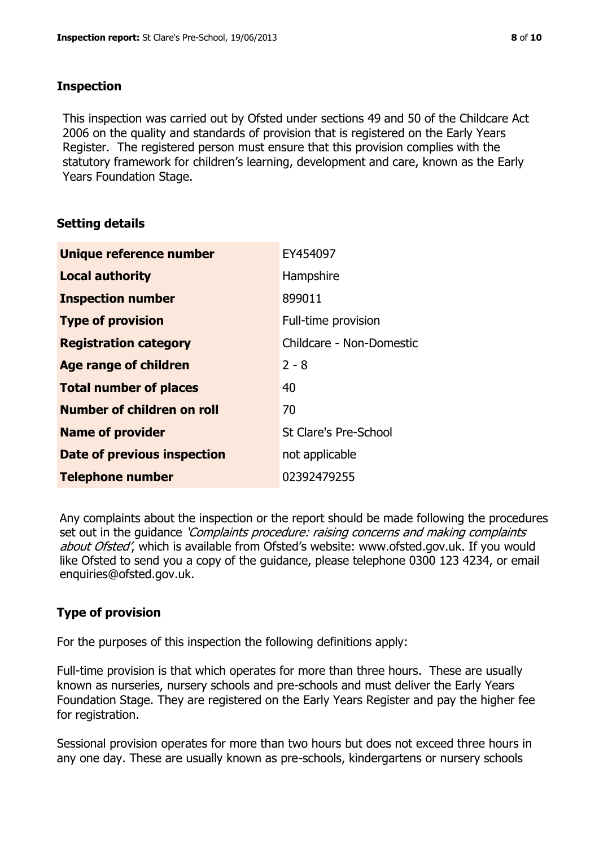# **Inspection**

This inspection was carried out by Ofsted under sections 49 and 50 of the Childcare Act 2006 on the quality and standards of provision that is registered on the Early Years Register. The registered person must ensure that this provision complies with the statutory framework for children's learning, development and care, known as the Early Years Foundation Stage.

# **Setting details**

| Unique reference number       | EY454097                 |
|-------------------------------|--------------------------|
| <b>Local authority</b>        | Hampshire                |
| <b>Inspection number</b>      | 899011                   |
| <b>Type of provision</b>      | Full-time provision      |
| <b>Registration category</b>  | Childcare - Non-Domestic |
| <b>Age range of children</b>  | $2 - 8$                  |
| <b>Total number of places</b> | 40                       |
| Number of children on roll    | 70                       |
| <b>Name of provider</b>       | St Clare's Pre-School    |
| Date of previous inspection   | not applicable           |
| <b>Telephone number</b>       | 02392479255              |

Any complaints about the inspection or the report should be made following the procedures set out in the guidance *'Complaints procedure: raising concerns and making complaints* about Ofsted', which is available from Ofsted's website: www.ofsted.gov.uk. If you would like Ofsted to send you a copy of the guidance, please telephone 0300 123 4234, or email enquiries@ofsted.gov.uk.

# **Type of provision**

For the purposes of this inspection the following definitions apply:

Full-time provision is that which operates for more than three hours. These are usually known as nurseries, nursery schools and pre-schools and must deliver the Early Years Foundation Stage. They are registered on the Early Years Register and pay the higher fee for registration.

Sessional provision operates for more than two hours but does not exceed three hours in any one day. These are usually known as pre-schools, kindergartens or nursery schools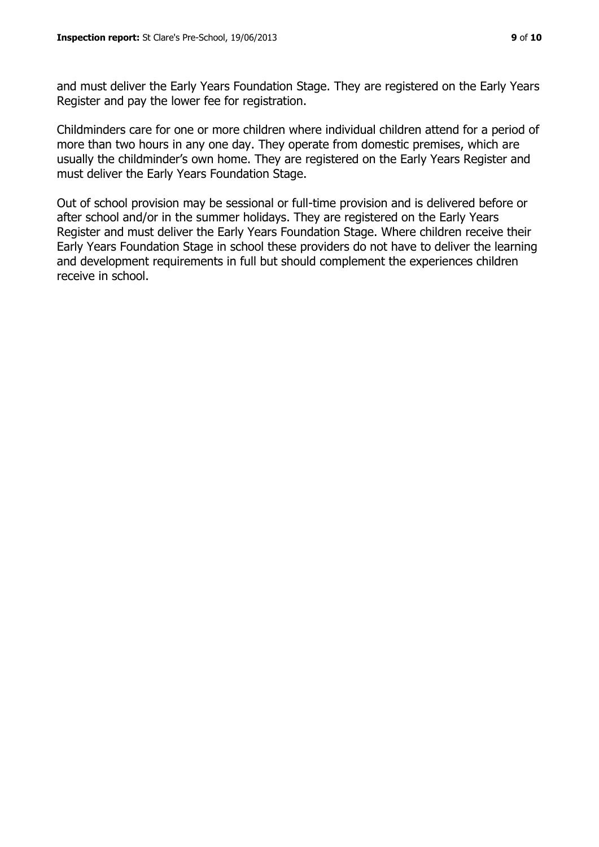and must deliver the Early Years Foundation Stage. They are registered on the Early Years Register and pay the lower fee for registration.

Childminders care for one or more children where individual children attend for a period of more than two hours in any one day. They operate from domestic premises, which are usually the childminder's own home. They are registered on the Early Years Register and must deliver the Early Years Foundation Stage.

Out of school provision may be sessional or full-time provision and is delivered before or after school and/or in the summer holidays. They are registered on the Early Years Register and must deliver the Early Years Foundation Stage. Where children receive their Early Years Foundation Stage in school these providers do not have to deliver the learning and development requirements in full but should complement the experiences children receive in school.